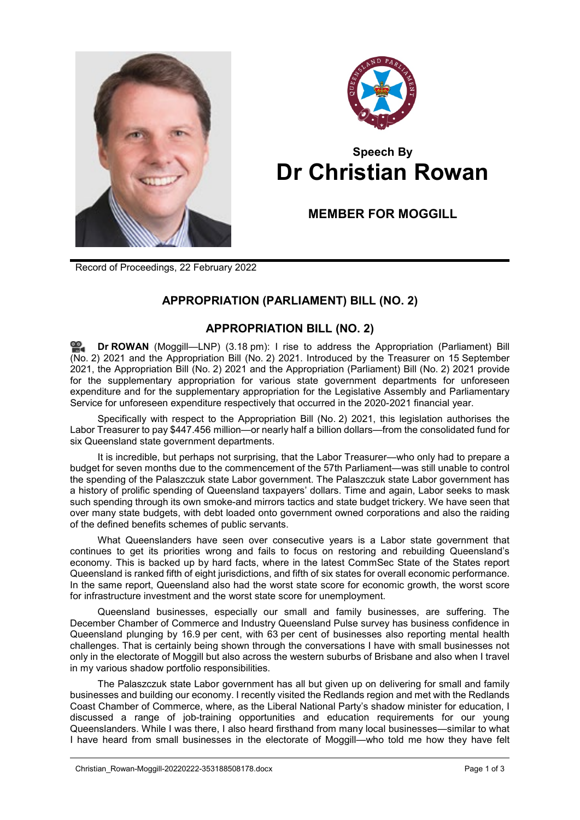



## **Speech By Dr Christian Rowan**

## **MEMBER FOR MOGGILL**

Record of Proceedings, 22 February 2022

## **APPROPRIATION (PARLIAMENT) BILL (NO. 2)**

## **APPROPRIATION BILL (NO. 2)**

**Dr [ROWAN](http://www.parliament.qld.gov.au/docs/find.aspx?id=0Mba20220222_151837)** (Moggill—LNP) (3.18 pm): I rise to address the Appropriation (Parliament) Bill (No. 2) 2021 and the Appropriation Bill (No. 2) 2021. Introduced by the Treasurer on 15 September 2021, the Appropriation Bill (No. 2) 2021 and the Appropriation (Parliament) Bill (No. 2) 2021 provide for the supplementary appropriation for various state government departments for unforeseen expenditure and for the supplementary appropriation for the Legislative Assembly and Parliamentary Service for unforeseen expenditure respectively that occurred in the 2020-2021 financial year.

Specifically with respect to the Appropriation Bill (No. 2) 2021, this legislation authorises the Labor Treasurer to pay \$447.456 million—or nearly half a billion dollars—from the consolidated fund for six Queensland state government departments.

It is incredible, but perhaps not surprising, that the Labor Treasurer—who only had to prepare a budget for seven months due to the commencement of the 57th Parliament—was still unable to control the spending of the Palaszczuk state Labor government. The Palaszczuk state Labor government has a history of prolific spending of Queensland taxpayers' dollars. Time and again, Labor seeks to mask such spending through its own smoke-and mirrors tactics and state budget trickery. We have seen that over many state budgets, with debt loaded onto government owned corporations and also the raiding of the defined benefits schemes of public servants.

What Queenslanders have seen over consecutive years is a Labor state government that continues to get its priorities wrong and fails to focus on restoring and rebuilding Queensland's economy. This is backed up by hard facts, where in the latest CommSec State of the States report Queensland is ranked fifth of eight jurisdictions, and fifth of six states for overall economic performance. In the same report, Queensland also had the worst state score for economic growth, the worst score for infrastructure investment and the worst state score for unemployment.

Queensland businesses, especially our small and family businesses, are suffering. The December Chamber of Commerce and Industry Queensland Pulse survey has business confidence in Queensland plunging by 16.9 per cent, with 63 per cent of businesses also reporting mental health challenges. That is certainly being shown through the conversations I have with small businesses not only in the electorate of Moggill but also across the western suburbs of Brisbane and also when I travel in my various shadow portfolio responsibilities.

The Palaszczuk state Labor government has all but given up on delivering for small and family businesses and building our economy. I recently visited the Redlands region and met with the Redlands Coast Chamber of Commerce, where, as the Liberal National Party's shadow minister for education, I discussed a range of job-training opportunities and education requirements for our young Queenslanders. While I was there, I also heard firsthand from many local businesses—similar to what I have heard from small businesses in the electorate of Moggill—who told me how they have felt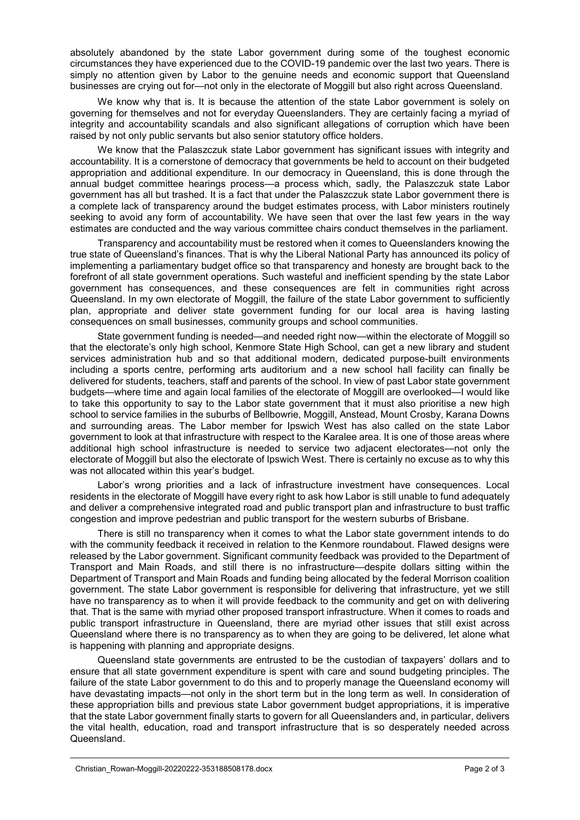absolutely abandoned by the state Labor government during some of the toughest economic circumstances they have experienced due to the COVID-19 pandemic over the last two years. There is simply no attention given by Labor to the genuine needs and economic support that Queensland businesses are crying out for—not only in the electorate of Moggill but also right across Queensland.

We know why that is. It is because the attention of the state Labor government is solely on governing for themselves and not for everyday Queenslanders. They are certainly facing a myriad of integrity and accountability scandals and also significant allegations of corruption which have been raised by not only public servants but also senior statutory office holders.

We know that the Palaszczuk state Labor government has significant issues with integrity and accountability. It is a cornerstone of democracy that governments be held to account on their budgeted appropriation and additional expenditure. In our democracy in Queensland, this is done through the annual budget committee hearings process—a process which, sadly, the Palaszczuk state Labor government has all but trashed. It is a fact that under the Palaszczuk state Labor government there is a complete lack of transparency around the budget estimates process, with Labor ministers routinely seeking to avoid any form of accountability. We have seen that over the last few years in the way estimates are conducted and the way various committee chairs conduct themselves in the parliament.

Transparency and accountability must be restored when it comes to Queenslanders knowing the true state of Queensland's finances. That is why the Liberal National Party has announced its policy of implementing a parliamentary budget office so that transparency and honesty are brought back to the forefront of all state government operations. Such wasteful and inefficient spending by the state Labor government has consequences, and these consequences are felt in communities right across Queensland. In my own electorate of Moggill, the failure of the state Labor government to sufficiently plan, appropriate and deliver state government funding for our local area is having lasting consequences on small businesses, community groups and school communities.

State government funding is needed—and needed right now—within the electorate of Moggill so that the electorate's only high school, Kenmore State High School, can get a new library and student services administration hub and so that additional modern, dedicated purpose-built environments including a sports centre, performing arts auditorium and a new school hall facility can finally be delivered for students, teachers, staff and parents of the school. In view of past Labor state government budgets—where time and again local families of the electorate of Moggill are overlooked—I would like to take this opportunity to say to the Labor state government that it must also prioritise a new high school to service families in the suburbs of Bellbowrie, Moggill, Anstead, Mount Crosby, Karana Downs and surrounding areas. The Labor member for Ipswich West has also called on the state Labor government to look at that infrastructure with respect to the Karalee area. It is one of those areas where additional high school infrastructure is needed to service two adjacent electorates—not only the electorate of Moggill but also the electorate of Ipswich West. There is certainly no excuse as to why this was not allocated within this year's budget.

Labor's wrong priorities and a lack of infrastructure investment have consequences. Local residents in the electorate of Moggill have every right to ask how Labor is still unable to fund adequately and deliver a comprehensive integrated road and public transport plan and infrastructure to bust traffic congestion and improve pedestrian and public transport for the western suburbs of Brisbane.

There is still no transparency when it comes to what the Labor state government intends to do with the community feedback it received in relation to the Kenmore roundabout. Flawed designs were released by the Labor government. Significant community feedback was provided to the Department of Transport and Main Roads, and still there is no infrastructure—despite dollars sitting within the Department of Transport and Main Roads and funding being allocated by the federal Morrison coalition government. The state Labor government is responsible for delivering that infrastructure, yet we still have no transparency as to when it will provide feedback to the community and get on with delivering that. That is the same with myriad other proposed transport infrastructure. When it comes to roads and public transport infrastructure in Queensland, there are myriad other issues that still exist across Queensland where there is no transparency as to when they are going to be delivered, let alone what is happening with planning and appropriate designs.

Queensland state governments are entrusted to be the custodian of taxpayers' dollars and to ensure that all state government expenditure is spent with care and sound budgeting principles. The failure of the state Labor government to do this and to properly manage the Queensland economy will have devastating impacts—not only in the short term but in the long term as well. In consideration of these appropriation bills and previous state Labor government budget appropriations, it is imperative that the state Labor government finally starts to govern for all Queenslanders and, in particular, delivers the vital health, education, road and transport infrastructure that is so desperately needed across Queensland.